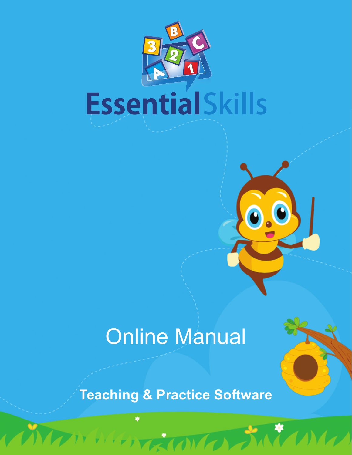

# Online Manual

## **Teaching & Practice Software**

**TERN**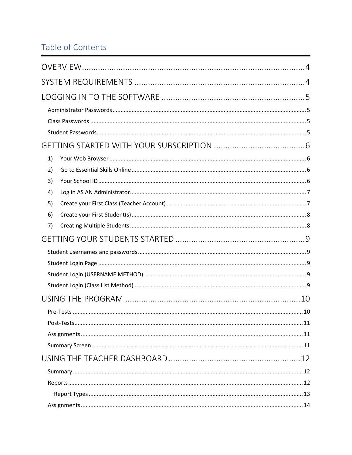### Table of Contents

| 1) |  |
|----|--|
| 2) |  |
| 3) |  |
| 4) |  |
| 5) |  |
| 6) |  |
| 7) |  |
|    |  |
|    |  |
|    |  |
|    |  |
|    |  |
|    |  |
|    |  |
|    |  |
|    |  |
|    |  |
|    |  |
|    |  |
|    |  |
|    |  |
|    |  |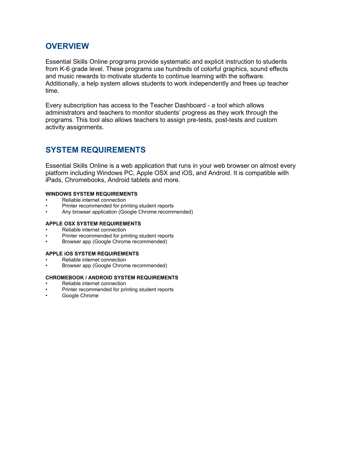### <span id="page-3-0"></span>**OVERVIEW**

Essential Skills Online programs provide systematic and explicit instruction to students from K-6 grade level. These programs use hundreds of colorful graphics, sound effects and music rewards to motivate students to continue learning with the software. Additionally, a help system allows students to work independently and frees up teacher time.

Every subscription has access to the Teacher Dashboard - a tool which allows administrators and teachers to monitor students' progress as they work through the programs. This tool also allows teachers to assign pre-tests, post-tests and custom activity assignments.

### <span id="page-3-1"></span>**SYSTEM REQUIREMENTS**

Essential Skills Online is a web application that runs in your web browser on almost every platform including Windows PC, Apple OSX and iOS, and Android. It is compatible with iPads, Chromebooks, Android tablets and more.

#### **WINDOWS SYSTEM REQUIREMENTS**

- Reliable internet connection
- Printer recommended for printing student reports
- Any browser application (Google Chrome recommended)

#### **APPLE OSX SYSTEM REQUIREMENTS**

- Reliable internet connection
- Printer recommended for printing student reports
- Browser app (Google Chrome recommended)

#### **APPLE iOS SYSTEM REQUIREMENTS**

- Reliable internet connection
- Browser app (Google Chrome recommended)

#### **CHROMEBOOK / ANDROID SYSTEM REQUIREMENTS**

- Reliable internet connection
- Printer recommended for printing student reports
- Google Chrome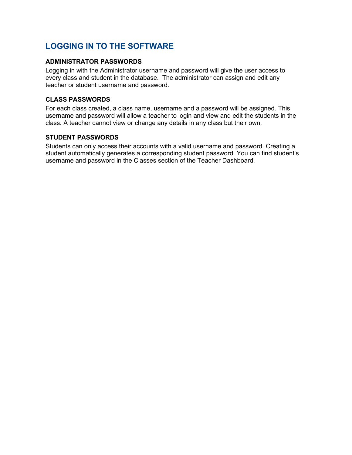### <span id="page-4-0"></span>**LOGGING IN TO THE SOFTWARE**

### <span id="page-4-1"></span>**ADMINISTRATOR PASSWORDS**

Logging in with the Administrator username and password will give the user access to every class and student in the database. The administrator can assign and edit any teacher or student username and password.

### <span id="page-4-2"></span>**CLASS PASSWORDS**

For each class created, a class name, username and a password will be assigned. This username and password will allow a teacher to login and view and edit the students in the class. A teacher cannot view or change any details in any class but their own.

### <span id="page-4-3"></span>**STUDENT PASSWORDS**

Students can only access their accounts with a valid username and password. Creating a student automatically generates a corresponding student password. You can find student's username and password in the Classes section of the Teacher Dashboard.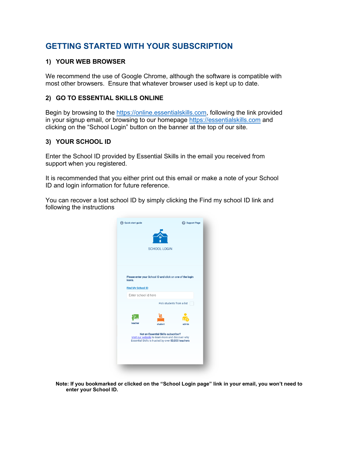### <span id="page-5-0"></span>**GETTING STARTED WITH YOUR SUBSCRIPTION**

### <span id="page-5-1"></span>**1) YOUR WEB BROWSER**

We recommend the use of Google Chrome, although the software is compatible with most other browsers. Ensure that whatever browser used is kept up to date.

### <span id="page-5-2"></span>**2) GO TO ESSENTIAL SKILLS ONLINE**

Begin by browsing to the [https://online.essentialskills.com,](https://online.essentialskills.com/) following the link provided in your signup email, or browsing to our homepage [https://essentialskills.com](https://essentialskills.com/) and clicking on the "School Login" button on the banner at the top of our site.

### <span id="page-5-3"></span>**3) YOUR SCHOOL ID**

Enter the School ID provided by Essential Skills in the email you received from support when you registered.

It is recommended that you either print out this email or make a note of your School ID and login information for future reference.

You can recover a lost school ID by simply clicking the Find my school ID link and following the instructions



**Note: If you bookmarked or clicked on the "School Login page" link in your email, you won't need to enter your School ID.**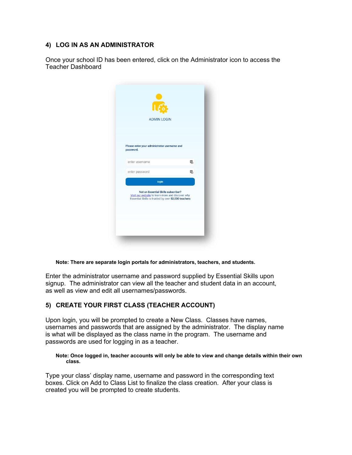### <span id="page-6-0"></span>**4) LOG IN AS AN ADMINISTRATOR**

Once your school ID has been entered, click on the Administrator icon to access the Teacher Dashboard

| <b>ADMIN LOGIN</b>                                                                                                                             |   |
|------------------------------------------------------------------------------------------------------------------------------------------------|---|
|                                                                                                                                                |   |
| Please enter your administrator username and<br>password.                                                                                      |   |
| enter username                                                                                                                                 | 국 |
| enter password                                                                                                                                 | 暑 |
| login                                                                                                                                          |   |
| Not an Essential Skills subscriber?<br>Visit our website to learn more and discover why<br>Essential Skills is trusted by over 53,000 teachers |   |
|                                                                                                                                                |   |
|                                                                                                                                                |   |

**Note: There are separate login portals for administrators, teachers, and students.**

Enter the administrator username and password supplied by Essential Skills upon signup. The administrator can view all the teacher and student data in an account, as well as view and edit all usernames/passwords.

### <span id="page-6-1"></span>**5) CREATE YOUR FIRST CLASS (TEACHER ACCOUNT)**

Upon login, you will be prompted to create a New Class. Classes have names, usernames and passwords that are assigned by the administrator. The display name is what will be displayed as the class name in the program. The username and passwords are used for logging in as a teacher.

#### **Note: Once logged in, teacher accounts will only be able to view and change details within their own class.**

Type your class' display name, username and password in the corresponding text boxes. Click on Add to Class List to finalize the class creation. After your class is created you will be prompted to create students.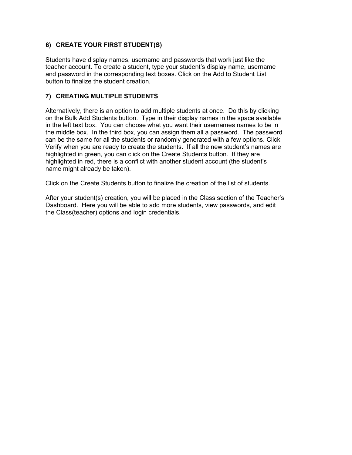### <span id="page-7-0"></span>**6) CREATE YOUR FIRST STUDENT(S)**

Students have display names, username and passwords that work just like the teacher account. To create a student, type your student's display name, username and password in the corresponding text boxes. Click on the Add to Student List button to finalize the student creation.

### <span id="page-7-1"></span>**7) CREATING MULTIPLE STUDENTS**

Alternatively, there is an option to add multiple students at once. Do this by clicking on the Bulk Add Students button. Type in their display names in the space available in the left text box. You can choose what you want their usernames names to be in the middle box. In the third box, you can assign them all a password. The password can be the same for all the students or randomly generated with a few options. Click Verify when you are ready to create the students. If all the new student's names are highlighted in green, you can click on the Create Students button. If they are highlighted in red, there is a conflict with another student account (the student's name might already be taken).

Click on the Create Students button to finalize the creation of the list of students.

After your student(s) creation, you will be placed in the Class section of the Teacher's Dashboard. Here you will be able to add more students, view passwords, and edit the Class(teacher) options and login credentials.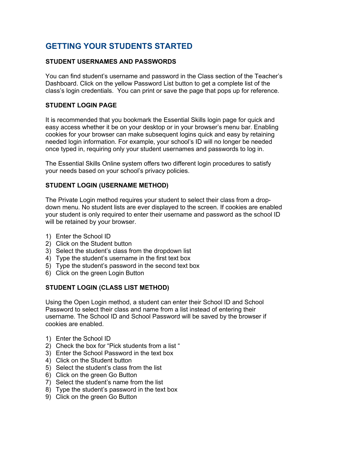### <span id="page-8-0"></span>**GETTING YOUR STUDENTS STARTED**

### <span id="page-8-1"></span>**STUDENT USERNAMES AND PASSWORDS**

You can find student's username and password in the Class section of the Teacher's Dashboard. Click on the yellow Password List button to get a complete list of the class's login credentials. You can print or save the page that pops up for reference.

### <span id="page-8-2"></span>**STUDENT LOGIN PAGE**

It is recommended that you bookmark the Essential Skills login page for quick and easy access whether it be on your desktop or in your browser's menu bar. Enabling cookies for your browser can make subsequent logins quick and easy by retaining needed login information. For example, your school's ID will no longer be needed once typed in, requiring only your student usernames and passwords to log in.

The Essential Skills Online system offers two different login procedures to satisfy your needs based on your school's privacy policies.

### <span id="page-8-3"></span>**STUDENT LOGIN (USERNAME METHOD)**

The Private Login method requires your student to select their class from a dropdown menu. No student lists are ever displayed to the screen. If cookies are enabled your student is only required to enter their username and password as the school ID will be retained by your browser.

- 1) Enter the School ID
- 2) Click on the Student button
- 3) Select the student's class from the dropdown list
- 4) Type the student's username in the first text box
- 5) Type the student's password in the second text box
- 6) Click on the green Login Button

### <span id="page-8-4"></span>**STUDENT LOGIN (CLASS LIST METHOD)**

Using the Open Login method, a student can enter their School ID and School Password to select their class and name from a list instead of entering their username. The School ID and School Password will be saved by the browser if cookies are enabled.

- 1) Enter the School ID
- 2) Check the box for "Pick students from a list "
- 3) Enter the School Password in the text box
- 4) Click on the Student button
- 5) Select the student's class from the list
- 6) Click on the green Go Button
- 7) Select the student's name from the list
- 8) Type the student's password in the text box
- 9) Click on the green Go Button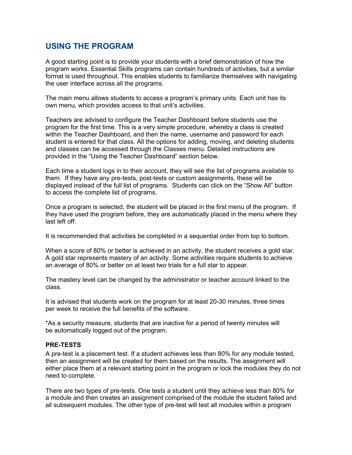### <span id="page-9-0"></span>**USING THE PROGRAM**

A good starting point is to provide your students with a brief demonstration of how the program works. Essential Skills programs can contain hundreds of activities, but a similar format is used throughout. This enables students to familiarize themselves with navigating the user interface across all the programs.

The main menu allows students to access a program's primary units. Each unit has its own menu, which provides access to that unit's activities.

Teachers are advised to configure the Teacher Dashboard before students use the program for the first time. This is a very simple procedure, whereby a class is created within the Teacher Dashboard, and then the name, username and password for each student is entered for that class. All the options for adding, moving, and deleting students and classes can be accessed through the Classes menu. Detailed instructions are provided in the "Using the Teacher Dashboard" section below.

Each time a student logs in to their account, they will see the list of programs available to them. If they have any pre-tests, post-tests or custom assignments, these will be displayed instead of the full list of programs. Students can click on the "Show All" button to access the complete list of programs.

Once a program is selected, the student will be placed in the first menu of the program. If they have used the program before, they are automatically placed in the menu where they last left off.

It is recommended that activities be completed in a sequential order from top to bottom.

When a score of 80% or better is achieved in an activity, the student receives a gold star. A gold star represents mastery of an activity. Some activities require students to achieve an average of 80% or better on at least two trials for a full star to appear.

The mastery level can be changed by the administrator or teacher account linked to the class.

It is advised that students work on the program for at least 20-30 minutes, three times per week to receive the full benefits of the software.

\*As a security measure, students that are inactive for a period of twenty minutes will be automatically logged out of the program.

### <span id="page-9-1"></span>**PRE-TESTS**

A pre-test is a placement test. If a student achieves less than 80% for any module tested, then an assignment will be created for them based on the results. The assignment will either place them at a relevant starting point in the program or lock the modules they do not need to complete.

There are two types of pre-tests. One tests a student until they achieve less than 80% for a module and then creates an assignment comprised of the module the student failed and all subsequent modules. The other type of pre-test will test all modules within a program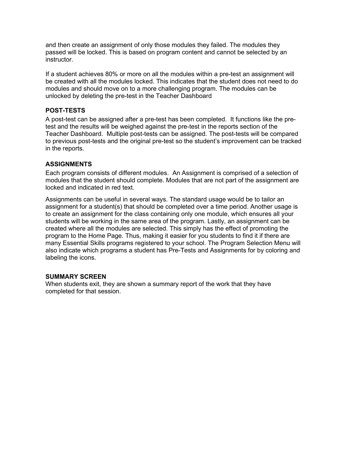and then create an assignment of only those modules they failed. The modules they passed will be locked. This is based on program content and cannot be selected by an instructor.

If a student achieves 80% or more on all the modules within a pre-test an assignment will be created with all the modules locked. This indicates that the student does not need to do modules and should move on to a more challenging program. The modules can be unlocked by deleting the pre-test in the Teacher Dashboard

### <span id="page-10-0"></span>**POST-TESTS**

A post-test can be assigned after a pre-test has been completed. It functions like the pretest and the results will be weighed against the pre-test in the reports section of the Teacher Dashboard. Multiple post-tests can be assigned. The post-tests will be compared to previous post-tests and the original pre-test so the student's improvement can be tracked in the reports.

### <span id="page-10-1"></span>**ASSIGNMENTS**

Each program consists of different modules. An Assignment is comprised of a selection of modules that the student should complete. Modules that are not part of the assignment are locked and indicated in red text.

Assignments can be useful in several ways. The standard usage would be to tailor an assignment for a student(s) that should be completed over a time period. Another usage is to create an assignment for the class containing only one module, which ensures all your students will be working in the same area of the program. Lastly, an assignment can be created where all the modules are selected. This simply has the effect of promoting the program to the Home Page. Thus, making it easier for you students to find it if there are many Essential Skills programs registered to your school. The Program Selection Menu will also indicate which programs a student has Pre-Tests and Assignments for by coloring and labeling the icons.

### <span id="page-10-2"></span>**SUMMARY SCREEN**

When students exit, they are shown a summary report of the work that they have completed for that session.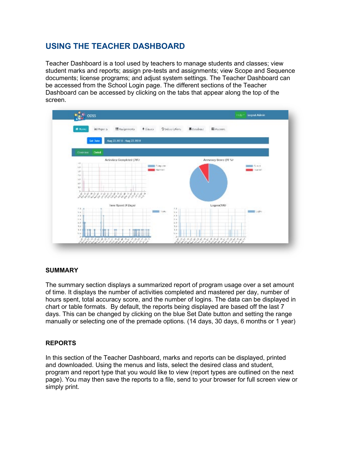### <span id="page-11-0"></span>**USING THE TEACHER DASHBOARD**

Teacher Dashboard is a tool used by teachers to manage students and classes; view student marks and reports; assign pre-tests and assignments; view Scope and Sequence documents; license programs; and adjust system settings. The Teacher Dashboard can be accessed from the School Login page. The different sections of the Teacher Dashboard can be accessed by clicking on the tabs that appear along the top of the screen.



### <span id="page-11-1"></span>**SUMMARY**

The summary section displays a summarized report of program usage over a set amount of time. It displays the number of activities completed and mastered per day, number of hours spent, total accuracy score, and the number of logins. The data can be displayed in chart or table formats. By default, the reports being displayed are based off the last 7 days. This can be changed by clicking on the blue Set Date button and setting the range manually or selecting one of the premade options. (14 days, 30 days, 6 months or 1 year)

### <span id="page-11-2"></span>**REPORTS**

In this section of the Teacher Dashboard, marks and reports can be displayed, printed and downloaded. Using the menus and lists, select the desired class and student, program and report type that you would like to view (report types are outlined on the next page). You may then save the reports to a file, send to your browser for full screen view or simply print.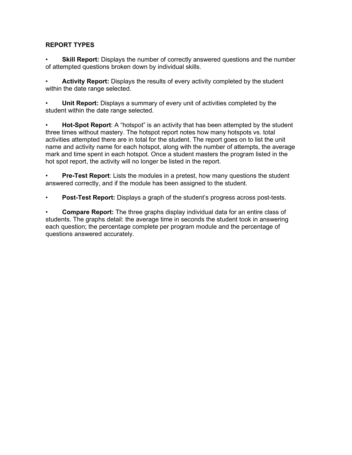### <span id="page-12-0"></span>**REPORT TYPES**

**Skill Report:** Displays the number of correctly answered questions and the number of attempted questions broken down by individual skills.

Activity Report: Displays the results of every activity completed by the student within the date range selected.

• **Unit Report:** Displays a summary of every unit of activities completed by the student within the date range selected.

• **Hot-Spot Report**: A "hotspot" is an activity that has been attempted by the student three times without mastery. The hotspot report notes how many hotspots vs. total activities attempted there are in total for the student. The report goes on to list the unit name and activity name for each hotspot, along with the number of attempts, the average mark and time spent in each hotspot. Once a student masters the program listed in the hot spot report, the activity will no longer be listed in the report.

• **Pre-Test Report**: Lists the modules in a pretest, how many questions the student answered correctly, and if the module has been assigned to the student.

• **Post-Test Report:** Displays a graph of the student's progress across post-tests.

• **Compare Report:** The three graphs display individual data for an entire class of students. The graphs detail: the average time in seconds the student took in answering each question; the percentage complete per program module and the percentage of questions answered accurately.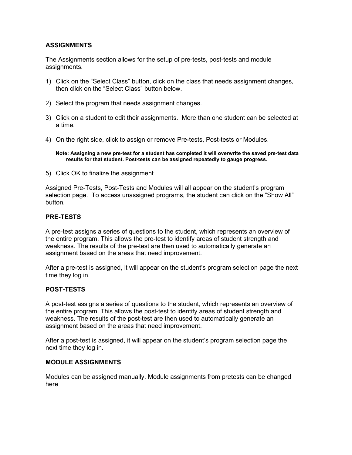### <span id="page-13-0"></span>**ASSIGNMENTS**

The Assignments section allows for the setup of pre-tests, post-tests and module assignments.

- 1) Click on the "Select Class" button, click on the class that needs assignment changes, then click on the "Select Class" button below.
- 2) Select the program that needs assignment changes.
- 3) Click on a student to edit their assignments. More than one student can be selected at a time.
- 4) On the right side, click to assign or remove Pre-tests, Post-tests or Modules.

**Note: Assigning a new pre-test for a student has completed it will overwrite the saved pre-test data results for that student. Post-tests can be assigned repeatedly to gauge progress.**

5) Click OK to finalize the assignment

Assigned Pre-Tests, Post-Tests and Modules will all appear on the student's program selection page. To access unassigned programs, the student can click on the "Show All" button.

### <span id="page-13-1"></span>**PRE-TESTS**

A pre-test assigns a series of questions to the student, which represents an overview of the entire program. This allows the pre-test to identify areas of student strength and weakness. The results of the pre-test are then used to automatically generate an assignment based on the areas that need improvement.

After a pre-test is assigned, it will appear on the student's program selection page the next time they log in.

### <span id="page-13-2"></span>**POST-TESTS**

A post-test assigns a series of questions to the student, which represents an overview of the entire program. This allows the post-test to identify areas of student strength and weakness. The results of the post-test are then used to automatically generate an assignment based on the areas that need improvement.

After a post-test is assigned, it will appear on the student's program selection page the next time they log in.

### <span id="page-13-3"></span>**MODULE ASSIGNMENTS**

Modules can be assigned manually. Module assignments from pretests can be changed here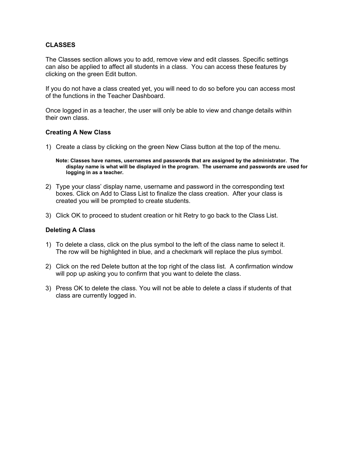### <span id="page-14-0"></span>**CLASSES**

The Classes section allows you to add, remove view and edit classes. Specific settings can also be applied to affect all students in a class. You can access these features by clicking on the green Edit button.

If you do not have a class created yet, you will need to do so before you can access most of the functions in the Teacher Dashboard.

Once logged in as a teacher, the user will only be able to view and change details within their own class.

### **Creating A New Class**

1) Create a class by clicking on the green New Class button at the top of the menu.

**Note: Classes have names, usernames and passwords that are assigned by the administrator. The display name is what will be displayed in the program. The username and passwords are used for logging in as a teacher.**

- 2) Type your class' display name, username and password in the corresponding text boxes. Click on Add to Class List to finalize the class creation. After your class is created you will be prompted to create students.
- 3) Click OK to proceed to student creation or hit Retry to go back to the Class List.

### **Deleting A Class**

- 1) To delete a class, click on the plus symbol to the left of the class name to select it. The row will be highlighted in blue, and a checkmark will replace the plus symbol.
- 2) Click on the red Delete button at the top right of the class list. A confirmation window will pop up asking you to confirm that you want to delete the class.
- 3) Press OK to delete the class. You will not be able to delete a class if students of that class are currently logged in.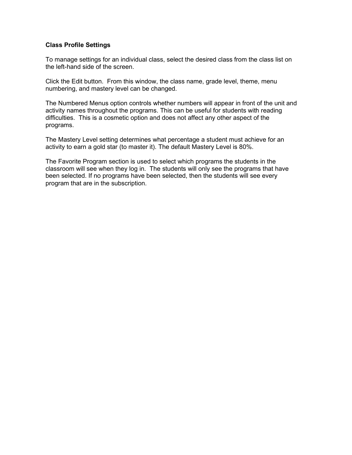### **Class Profile Settings**

To manage settings for an individual class, select the desired class from the class list on the left-hand side of the screen.

Click the Edit button. From this window, the class name, grade level, theme, menu numbering, and mastery level can be changed.

The Numbered Menus option controls whether numbers will appear in front of the unit and activity names throughout the programs. This can be useful for students with reading difficulties. This is a cosmetic option and does not affect any other aspect of the programs.

The Mastery Level setting determines what percentage a student must achieve for an activity to earn a gold star (to master it). The default Mastery Level is 80%.

The Favorite Program section is used to select which programs the students in the classroom will see when they log in. The students will only see the programs that have been selected. If no programs have been selected, then the students will see every program that are in the subscription.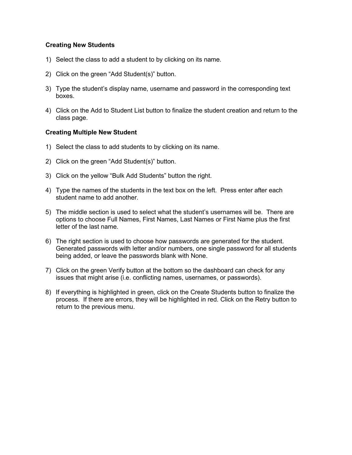### **Creating New Students**

- 1) Select the class to add a student to by clicking on its name.
- 2) Click on the green "Add Student(s)" button.
- 3) Type the student's display name, username and password in the corresponding text boxes.
- 4) Click on the Add to Student List button to finalize the student creation and return to the class page.

### **Creating Multiple New Student**

- 1) Select the class to add students to by clicking on its name.
- 2) Click on the green "Add Student(s)" button.
- 3) Click on the yellow "Bulk Add Students" button the right.
- 4) Type the names of the students in the text box on the left. Press enter after each student name to add another.
- 5) The middle section is used to select what the student's usernames will be. There are options to choose Full Names, First Names, Last Names or First Name plus the first letter of the last name.
- 6) The right section is used to choose how passwords are generated for the student. Generated passwords with letter and/or numbers, one single password for all students being added, or leave the passwords blank with None.
- 7) Click on the green Verify button at the bottom so the dashboard can check for any issues that might arise (i.e. conflicting names, usernames, or passwords).
- 8) If everything is highlighted in green, click on the Create Students button to finalize the process. If there are errors, they will be highlighted in red. Click on the Retry button to return to the previous menu.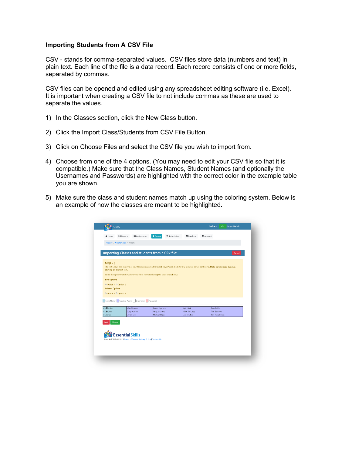### **Importing Students from A CSV File**

CSV - stands for comma-separated values. CSV files store data (numbers and text) in plain text. Each line of the file is a data record. Each record consists of one or more fields. separated by commas.

CSV files can be opened and edited using any spreadsheet editing software (i.e. Excel). It is important when creating a CSV file to not include commas as these are used to separate the values.

- 1) In the Classes section, click the New Class button.
- 2) Click the Import Class/Students from CSV File Button.
- 3) Click on Choose Files and select the CSV file you wish to import from.
- 4) Choose from one of the 4 options. (You may need to edit your CSV file so that it is compatible.) Make sure that the Class Names, Student Names (and optionally the Usernames and Passwords) are highlighted with the correct color in the example table you are shown.
- 5) Make sure the class and student names match up using the coloring system. Below is an example of how the classes are meant to be highlighted.

|                            |                                                 | Importing Classes and students from a CSV file:                                      |              |                                                                                                                                                        | Cancel |
|----------------------------|-------------------------------------------------|--------------------------------------------------------------------------------------|--------------|--------------------------------------------------------------------------------------------------------------------------------------------------------|--------|
| Step 2)                    |                                                 |                                                                                      |              |                                                                                                                                                        |        |
| starting on the first row. |                                                 |                                                                                      |              | The first 5 rows and columns of your file is displayed in the table below. Please check for any mistakes before continuing. Make sure you see the data |        |
|                            |                                                 | Select the option that shows how your file is formatted using the color codes below. |              |                                                                                                                                                        |        |
|                            |                                                 |                                                                                      |              |                                                                                                                                                        |        |
| <b>Row Options</b>         |                                                 |                                                                                      |              |                                                                                                                                                        |        |
| ● Option 1 © Option 2      |                                                 |                                                                                      |              |                                                                                                                                                        |        |
| <b>Column Options</b>      |                                                 |                                                                                      |              |                                                                                                                                                        |        |
| C Option 3 C Option 4      |                                                 |                                                                                      |              |                                                                                                                                                        |        |
|                            |                                                 |                                                                                      |              |                                                                                                                                                        |        |
|                            | Class Name   Student Name   Username   Password |                                                                                      |              |                                                                                                                                                        |        |
| Mr. Blender                | John Simons                                     | Aaron Nguyen                                                                         | Kyle Hart    | Sam Miller                                                                                                                                             |        |
| Mr. Brown                  | Doug Hamm                                       | Amy Andrews                                                                          | Mike Sanchez | <b>Tim Samson</b>                                                                                                                                      |        |
| Mr. Jones                  | Christi Lee                                     | Michael Harp                                                                         | Daniel Chan  | Will Henderson                                                                                                                                         |        |
|                            |                                                 |                                                                                      |              |                                                                                                                                                        |        |
|                            |                                                 |                                                                                      |              |                                                                                                                                                        |        |
| Choose<br>Back             |                                                 |                                                                                      |              |                                                                                                                                                        |        |
|                            |                                                 |                                                                                      |              |                                                                                                                                                        |        |
|                            | <b>Essential Skills</b>                         |                                                                                      |              |                                                                                                                                                        |        |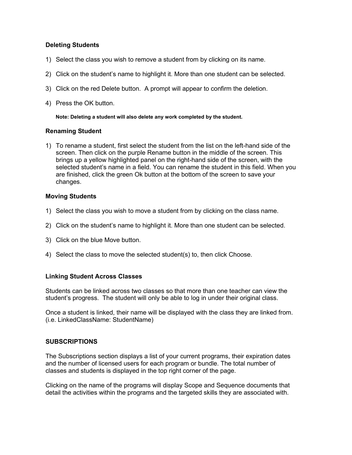### **Deleting Students**

- 1) Select the class you wish to remove a student from by clicking on its name.
- 2) Click on the student's name to highlight it. More than one student can be selected.
- 3) Click on the red Delete button. A prompt will appear to confirm the deletion.
- 4) Press the OK button.

**Note: Deleting a student will also delete any work completed by the student.**

### **Renaming Student**

1) To rename a student, first select the student from the list on the left-hand side of the screen. Then click on the purple Rename button in the middle of the screen. This brings up a yellow highlighted panel on the right-hand side of the screen, with the selected student's name in a field. You can rename the student in this field. When you are finished, click the green Ok button at the bottom of the screen to save your changes.

### **Moving Students**

- 1) Select the class you wish to move a student from by clicking on the class name.
- 2) Click on the student's name to highlight it. More than one student can be selected.
- 3) Click on the blue Move button.
- 4) Select the class to move the selected student(s) to, then click Choose.

### **Linking Student Across Classes**

Students can be linked across two classes so that more than one teacher can view the student's progress. The student will only be able to log in under their original class.

Once a student is linked, their name will be displayed with the class they are linked from. (i.e. LinkedClassName: StudentName)

### <span id="page-18-0"></span>**SUBSCRIPTIONS**

The Subscriptions section displays a list of your current programs, their expiration dates and the number of licensed users for each program or bundle. The total number of classes and students is displayed in the top right corner of the page.

Clicking on the name of the programs will display Scope and Sequence documents that detail the activities within the programs and the targeted skills they are associated with.